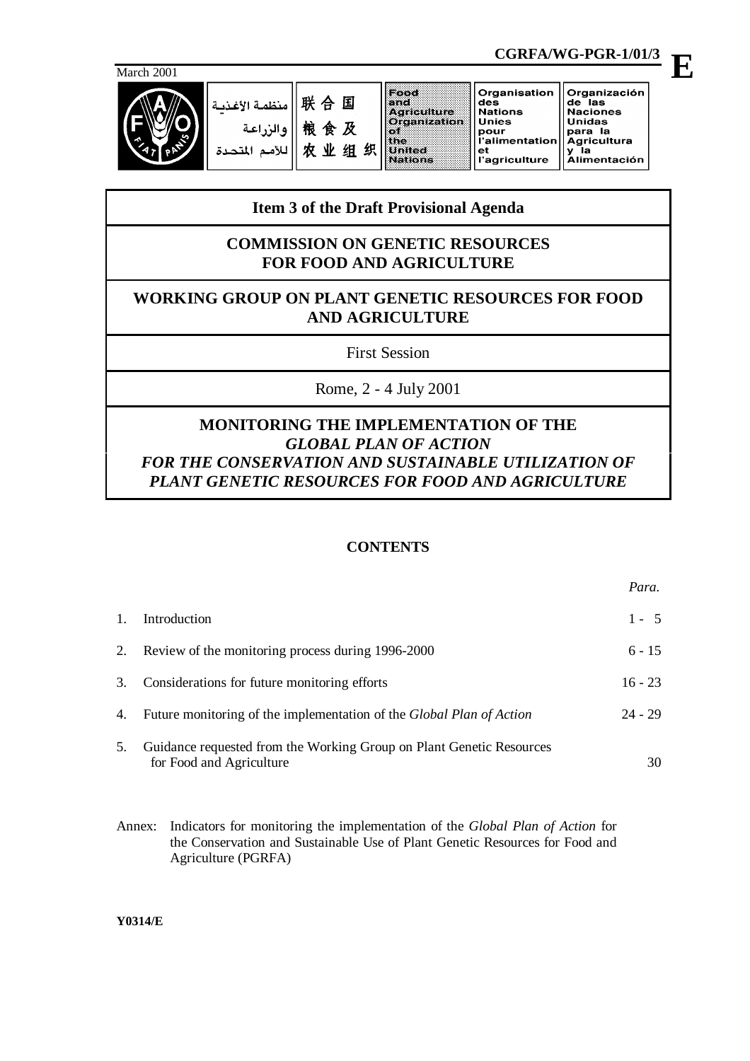

联合国 منظمة الأغذر 粮食及 و الز 农业组织

|                | Organisation   Organización |                     |
|----------------|-----------------------------|---------------------|
|                | des                         | de las              |
| Agriculture    | <b>Nations</b>              | <b>Naciones</b>     |
| Organization   | l Unies                     | ∣Unidas             |
|                | pour                        | para la             |
| W.             | i'alimentation  Agricultura |                     |
| <b>United</b>  | еt                          | la                  |
| <b>Nations</b> | l'agriculture               | <b>Alimentación</b> |

**CGRFA/WG-PGR-1/01/3**

# **Item 3 of the Draft Provisional Agenda**

## **COMMISSION ON GENETIC RESOURCES FOR FOOD AND AGRICULTURE**

## **WORKING GROUP ON PLANT GENETIC RESOURCES FOR FOOD AND AGRICULTURE**

First Session

Rome, 2 - 4 July 2001

## **MONITORING THE IMPLEMENTATION OF THE** *GLOBAL PLAN OF ACTION FOR THE CONSERVATION AND SUSTAINABLE UTILIZATION OF PLANT GENETIC RESOURCES FOR FOOD AND AGRICULTURE*

## **CONTENTS**

|    | Introduction                                                                                     | $1 - 5$   |
|----|--------------------------------------------------------------------------------------------------|-----------|
|    | Review of the monitoring process during 1996-2000                                                | $6 - 15$  |
| 3. | Considerations for future monitoring efforts                                                     | $16 - 23$ |
| 4. | Future monitoring of the implementation of the <i>Global Plan of Action</i>                      | $24 - 29$ |
| 5. | Guidance requested from the Working Group on Plant Genetic Resources<br>for Food and Agriculture | 30        |

Annex: Indicators for monitoring the implementation of the *Global Plan of Action* for the Conservation and Sustainable Use of Plant Genetic Resources for Food and Agriculture (PGRFA)

**Y0314/E**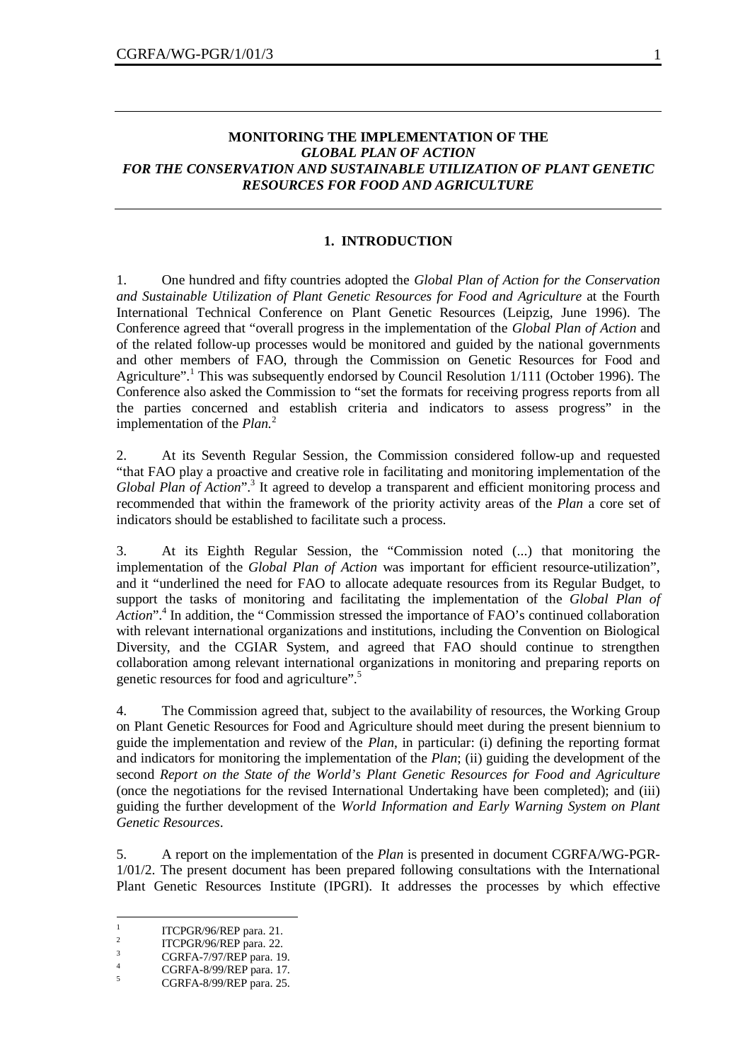## **MONITORING THE IMPLEMENTATION OF THE** *GLOBAL PLAN OF ACTION FOR THE CONSERVATION AND SUSTAINABLE UTILIZATION OF PLANT GENETIC RESOURCES FOR FOOD AND AGRICULTURE*

#### **1. INTRODUCTION**

1. One hundred and fifty countries adopted the *Global Plan of Action for the Conservation and Sustainable Utilization of Plant Genetic Resources for Food and Agriculture* at the Fourth International Technical Conference on Plant Genetic Resources (Leipzig, June 1996). The Conference agreed that "overall progress in the implementation of the *Global Plan of Action* and of the related follow-up processes would be monitored and guided by the national governments and other members of FAO, through the Commission on Genetic Resources for Food and Agriculture".<sup>1</sup> This was subsequently endorsed by Council Resolution 1/111 (October 1996). The Conference also asked the Commission to "set the formats for receiving progress reports from all the parties concerned and establish criteria and indicators to assess progress" in the implementation of the *Plan.*<sup>2</sup>

2. At its Seventh Regular Session, the Commission considered follow-up and requested "that FAO play a proactive and creative role in facilitating and monitoring implementation of the Global Plan of Action".<sup>3</sup> It agreed to develop a transparent and efficient monitoring process and recommended that within the framework of the priority activity areas of the *Plan* a core set of indicators should be established to facilitate such a process.

3. At its Eighth Regular Session, the "Commission noted (...) that monitoring the implementation of the *Global Plan of Action* was important for efficient resource-utilization", and it "underlined the need for FAO to allocate adequate resources from its Regular Budget, to support the tasks of monitoring and facilitating the implementation of the *Global Plan of* Action".<sup>4</sup> In addition, the "Commission stressed the importance of FAO's continued collaboration with relevant international organizations and institutions, including the Convention on Biological Diversity, and the CGIAR System, and agreed that FAO should continue to strengthen collaboration among relevant international organizations in monitoring and preparing reports on genetic resources for food and agriculture". 5

4. The Commission agreed that, subject to the availability of resources, the Working Group on Plant Genetic Resources for Food and Agriculture should meet during the present biennium to guide the implementation and review of the *Plan*, in particular: (i) defining the reporting format and indicators for monitoring the implementation of the *Plan*; (ii) guiding the development of the second *Report on the State of the World's Plant Genetic Resources for Food and Agriculture* (once the negotiations for the revised International Undertaking have been completed); and (iii) guiding the further development of the *World Information and Early Warning System on Plant Genetic Resources*.

5. A report on the implementation of the *Plan* is presented in document CGRFA/WG-PGR-1/01/2. The present document has been prepared following consultations with the International Plant Genetic Resources Institute (IPGRI). It addresses the processes by which effective

 $\frac{1}{1}$ ITCPGR/96/REP para. 21.

<sup>2</sup> ITCPGR/96/REP para. 22.

 $\frac{3}{4}$  CGRFA-7/97/REP para. 19.

 $^{4}$  CGRFA-8/99/REP para. 17.

CGRFA-8/99/REP para. 25.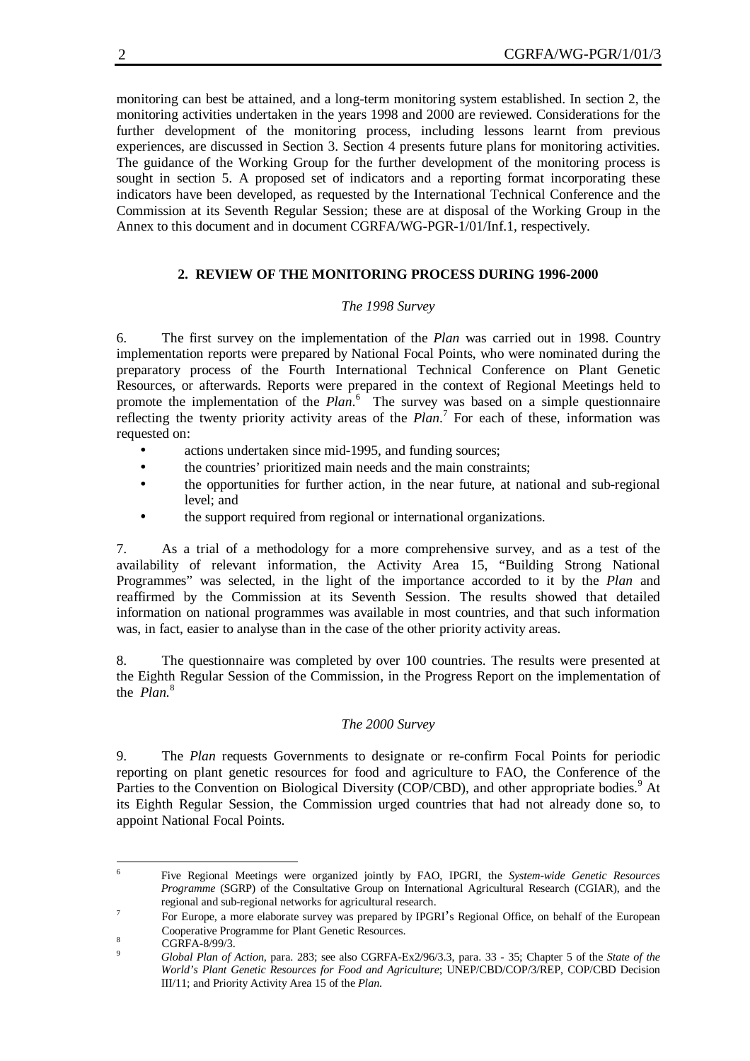monitoring can best be attained, and a long-term monitoring system established. In section 2, the monitoring activities undertaken in the years 1998 and 2000 are reviewed. Considerations for the further development of the monitoring process, including lessons learnt from previous experiences, are discussed in Section 3. Section 4 presents future plans for monitoring activities. The guidance of the Working Group for the further development of the monitoring process is sought in section 5. A proposed set of indicators and a reporting format incorporating these indicators have been developed, as requested by the International Technical Conference and the Commission at its Seventh Regular Session; these are at disposal of the Working Group in the Annex to this document and in document CGRFA/WG-PGR-1/01/Inf.1, respectively.

## **2. REVIEW OF THE MONITORING PROCESS DURING 1996-2000**

## *The 1998 Survey*

6. The first survey on the implementation of the *Plan* was carried out in 1998. Country implementation reports were prepared by National Focal Points, who were nominated during the preparatory process of the Fourth International Technical Conference on Plant Genetic Resources, or afterwards. Reports were prepared in the context of Regional Meetings held to promote the implementation of the Plan.<sup>6</sup> The survey was based on a simple questionnaire reflecting the twenty priority activity areas of the *Plan*. 7 For each of these, information was requested on:

- actions undertaken since mid-1995, and funding sources;
- the countries' prioritized main needs and the main constraints;
- the opportunities for further action, in the near future, at national and sub-regional level; and
- the support required from regional or international organizations.

7. As a trial of a methodology for a more comprehensive survey, and as a test of the availability of relevant information, the Activity Area 15, "Building Strong National Programmes" was selected, in the light of the importance accorded to it by the *Plan* and reaffirmed by the Commission at its Seventh Session. The results showed that detailed information on national programmes was available in most countries, and that such information was, in fact, easier to analyse than in the case of the other priority activity areas.

8. The questionnaire was completed by over 100 countries. The results were presented at the Eighth Regular Session of the Commission, in the Progress Report on the implementation of the *Plan.*<sup>8</sup>

## *The 2000 Survey*

9. The *Plan* requests Governments to designate or re-confirm Focal Points for periodic reporting on plant genetic resources for food and agriculture to FAO, the Conference of the Parties to the Convention on Biological Diversity (COP/CBD), and other appropriate bodies.<sup>9</sup> At its Eighth Regular Session, the Commission urged countries that had not already done so, to appoint National Focal Points.

 6 Five Regional Meetings were organized jointly by FAO, IPGRI, the *System-wide Genetic Resources Programme* (SGRP) of the Consultative Group on International Agricultural Research (CGIAR), and the regional and sub-regional networks for agricultural research.

<sup>7</sup> For Europe, a more elaborate survey was prepared by IPGRI's Regional Office, on behalf of the European Cooperative Programme for Plant Genetic Resources.

 $8 \text{ CGRFA-8/99/3}.$ 

<sup>9</sup> *Global Plan of Action*, para. 283; see also CGRFA-Ex2/96/3.3, para. 33 - 35; Chapter 5 of the *State of the World's Plant Genetic Resources for Food and Agriculture*; UNEP/CBD/COP/3/REP, COP/CBD Decision III/11; and Priority Activity Area 15 of the *Plan*.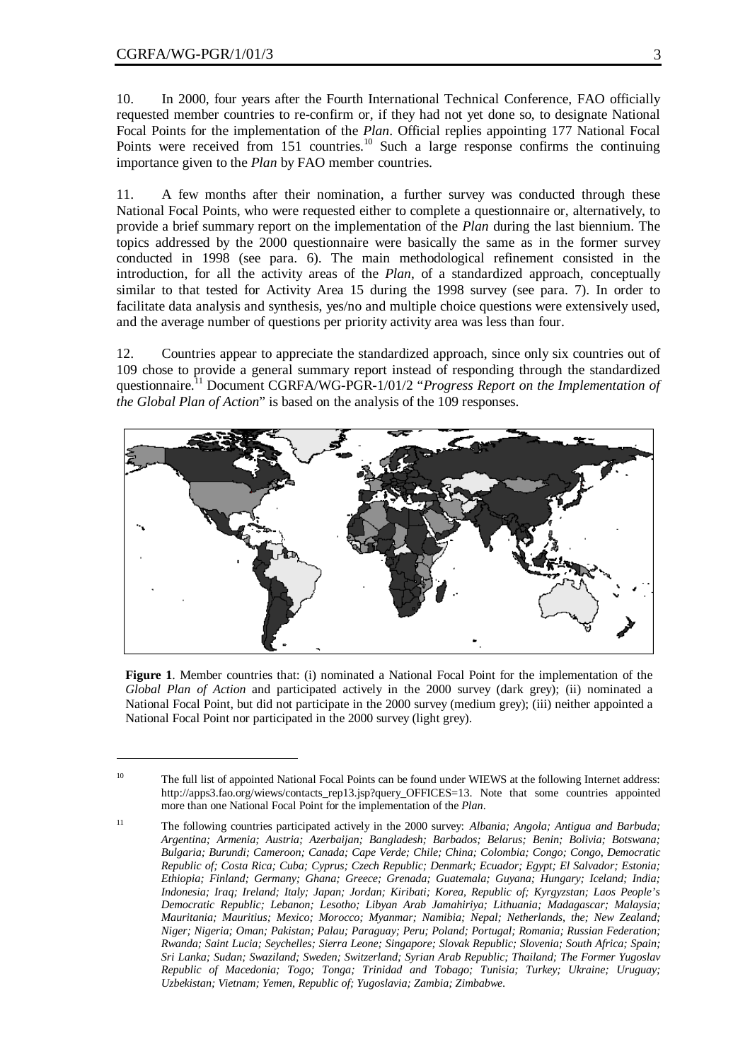$\overline{a}$ 

10. In 2000, four years after the Fourth International Technical Conference, FAO officially requested member countries to re-confirm or, if they had not yet done so, to designate National Focal Points for the implementation of the *Plan*. Official replies appointing 177 National Focal Points were received from 151 countries.<sup>10</sup> Such a large response confirms the continuing importance given to the *Plan* by FAO member countries.

11. A few months after their nomination, a further survey was conducted through these National Focal Points, who were requested either to complete a questionnaire or, alternatively, to provide a brief summary report on the implementation of the *Plan* during the last biennium. The topics addressed by the 2000 questionnaire were basically the same as in the former survey conducted in 1998 (see para. 6). The main methodological refinement consisted in the introduction, for all the activity areas of the *Plan*, of a standardized approach, conceptually similar to that tested for Activity Area 15 during the 1998 survey (see para. 7). In order to facilitate data analysis and synthesis, yes/no and multiple choice questions were extensively used, and the average number of questions per priority activity area was less than four.

12. Countries appear to appreciate the standardized approach, since only six countries out of 109 chose to provide a general summary report instead of responding through the standardized questionnaire.<sup>11</sup> Document CGRFA/WG-PGR-1/01/2 "*Progress Report on the Implementation of the Global Plan of Action*" is based on the analysis of the 109 responses.



**Figure 1**. Member countries that: (i) nominated a National Focal Point for the implementation of the *Global Plan of Action* and participated actively in the 2000 survey (dark grey); (ii) nominated a National Focal Point, but did not participate in the 2000 survey (medium grey); (iii) neither appointed a National Focal Point nor participated in the 2000 survey (light grey).

<sup>&</sup>lt;sup>10</sup> The full list of appointed National Focal Points can be found under WIEWS at the following Internet address: http://apps3.fao.org/wiews/contacts\_rep13.jsp?query\_OFFICES=13. Note that some countries appointed more than one National Focal Point for the implementation of the *Plan*.

<sup>11</sup> The following countries participated actively in the 2000 survey: *Albania; Angola; Antigua and Barbuda; Argentina; Armenia; Austria; Azerbaijan; Bangladesh; Barbados; Belarus; Benin; Bolivia; Botswana; Bulgaria; Burundi; Cameroon; Canada; Cape Verde; Chile; China; Colombia; Congo; Congo, Democratic Republic of; Costa Rica; Cuba; Cyprus; Czech Republic; Denmark; Ecuador; Egypt; El Salvador; Estonia; Ethiopia; Finland; Germany; Ghana; Greece; Grenada; Guatemala; Guyana; Hungary; Iceland; India; Indonesia; Iraq; Ireland; Italy; Japan; Jordan; Kiribati; Korea, Republic of; Kyrgyzstan; Laos People's Democratic Republic; Lebanon; Lesotho; Libyan Arab Jamahiriya; Lithuania; Madagascar; Malaysia; Mauritania; Mauritius; Mexico; Morocco; Myanmar; Namibia; Nepal; Netherlands, the; New Zealand; Niger; Nigeria; Oman; Pakistan; Palau; Paraguay; Peru; Poland; Portugal; Romania; Russian Federation; Rwanda; Saint Lucia; Seychelles; Sierra Leone; Singapore; Slovak Republic; Slovenia; South Africa; Spain; Sri Lanka; Sudan; Swaziland; Sweden; Switzerland; Syrian Arab Republic; Thailand; The Former Yugoslav Republic of Macedonia; Togo; Tonga; Trinidad and Tobago; Tunisia; Turkey; Ukraine; Uruguay; Uzbekistan; Vietnam; Yemen, Republic of; Yugoslavia; Zambia; Zimbabwe*.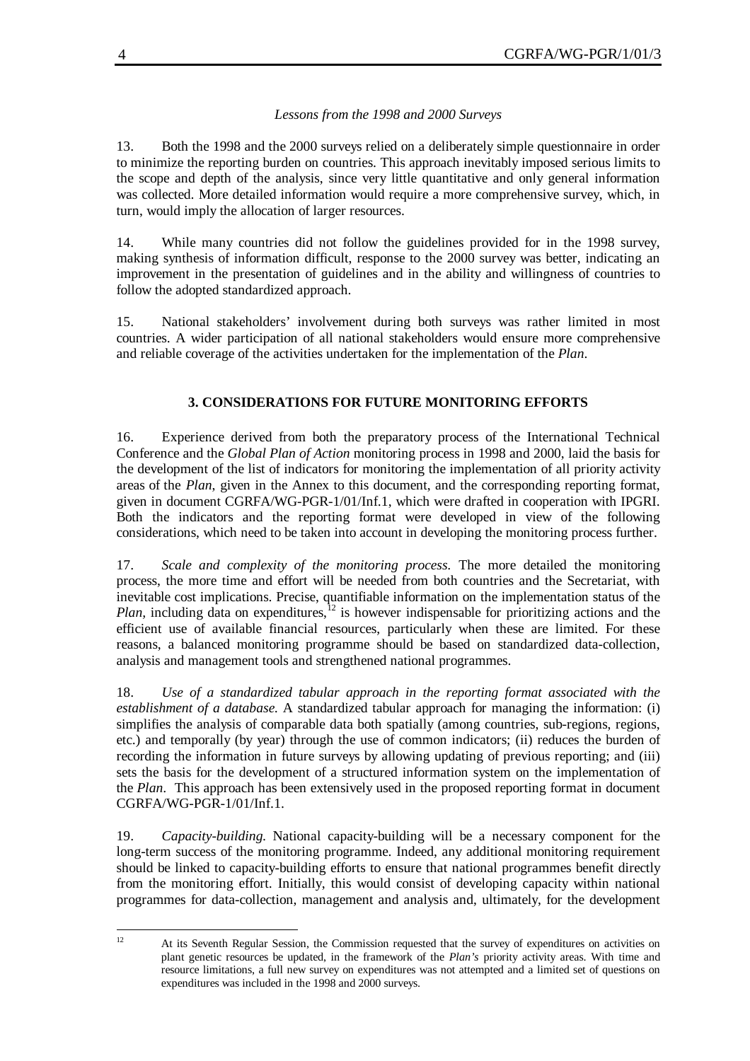## *Lessons from the 1998 and 2000 Surveys*

13. Both the 1998 and the 2000 surveys relied on a deliberately simple questionnaire in order to minimize the reporting burden on countries. This approach inevitably imposed serious limits to the scope and depth of the analysis, since very little quantitative and only general information was collected. More detailed information would require a more comprehensive survey, which, in turn, would imply the allocation of larger resources.

14. While many countries did not follow the guidelines provided for in the 1998 survey, making synthesis of information difficult, response to the 2000 survey was better, indicating an improvement in the presentation of guidelines and in the ability and willingness of countries to follow the adopted standardized approach.

15. National stakeholders' involvement during both surveys was rather limited in most countries. A wider participation of all national stakeholders would ensure more comprehensive and reliable coverage of the activities undertaken for the implementation of the *Plan*.

## **3. CONSIDERATIONS FOR FUTURE MONITORING EFFORTS**

16. Experience derived from both the preparatory process of the International Technical Conference and the *Global Plan of Action* monitoring process in 1998 and 2000, laid the basis for the development of the list of indicators for monitoring the implementation of all priority activity areas of the *Plan*, given in the Annex to this document, and the corresponding reporting format, given in document CGRFA/WG-PGR-1/01/Inf.1, which were drafted in cooperation with IPGRI. Both the indicators and the reporting format were developed in view of the following considerations, which need to be taken into account in developing the monitoring process further.

17. *Scale and complexity of the monitoring process.* The more detailed the monitoring process, the more time and effort will be needed from both countries and the Secretariat, with inevitable cost implications. Precise, quantifiable information on the implementation status of the *Plan,* including data on expenditures,<sup>12</sup> is however indispensable for prioritizing actions and the efficient use of available financial resources, particularly when these are limited. For these reasons, a balanced monitoring programme should be based on standardized data-collection, analysis and management tools and strengthened national programmes.

18. *Use of a standardized tabular approach in the reporting format associated with the establishment of a database.* A standardized tabular approach for managing the information: (i) simplifies the analysis of comparable data both spatially (among countries, sub-regions, regions, etc.) and temporally (by year) through the use of common indicators; (ii) reduces the burden of recording the information in future surveys by allowing updating of previous reporting; and (iii) sets the basis for the development of a structured information system on the implementation of the *Plan*. This approach has been extensively used in the proposed reporting format in document CGRFA/WG-PGR-1/01/Inf.1.

19. *Capacity-building.* National capacity-building will be a necessary component for the long-term success of the monitoring programme. Indeed, any additional monitoring requirement should be linked to capacity-building efforts to ensure that national programmes benefit directly from the monitoring effort. Initially, this would consist of developing capacity within national programmes for data-collection, management and analysis and, ultimately, for the development

 $12$ <sup>12</sup> At its Seventh Regular Session, the Commission requested that the survey of expenditures on activities on plant genetic resources be updated, in the framework of the *Plan's* priority activity areas. With time and resource limitations, a full new survey on expenditures was not attempted and a limited set of questions on expenditures was included in the 1998 and 2000 surveys.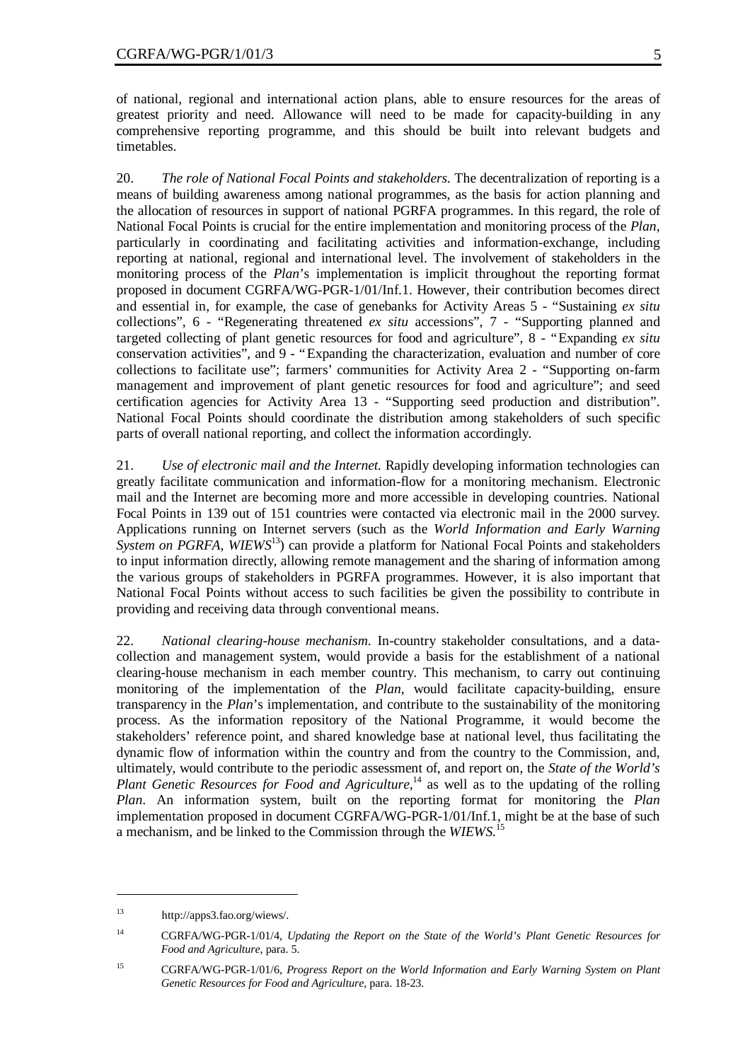of national, regional and international action plans, able to ensure resources for the areas of greatest priority and need. Allowance will need to be made for capacity-building in any comprehensive reporting programme, and this should be built into relevant budgets and timetables.

20. *The role of National Focal Points and stakeholders.* The decentralization of reporting is a means of building awareness among national programmes, as the basis for action planning and the allocation of resources in support of national PGRFA programmes. In this regard, the role of National Focal Points is crucial for the entire implementation and monitoring process of the *Plan*, particularly in coordinating and facilitating activities and information-exchange, including reporting at national, regional and international level. The involvement of stakeholders in the monitoring process of the *Plan*'s implementation is implicit throughout the reporting format proposed in document CGRFA/WG-PGR-1/01/Inf.1. However, their contribution becomes direct and essential in, for example, the case of genebanks for Activity Areas 5 - "Sustaining *ex situ* collections", 6 - "Regenerating threatened *ex situ* accessions", 7 - "Supporting planned and targeted collecting of plant genetic resources for food and agriculture", 8 - "Expanding *ex situ* conservation activities", and 9 - "Expanding the characterization, evaluation and number of core collections to facilitate use"; farmers'communities for Activity Area 2 - "Supporting on-farm management and improvement of plant genetic resources for food and agriculture"; and seed certification agencies for Activity Area 13 - "Supporting seed production and distribution". National Focal Points should coordinate the distribution among stakeholders of such specific parts of overall national reporting, and collect the information accordingly.

21. *Use of electronic mail and the Internet.* Rapidly developing information technologies can greatly facilitate communication and information-flow for a monitoring mechanism. Electronic mail and the Internet are becoming more and more accessible in developing countries. National Focal Points in 139 out of 151 countries were contacted via electronic mail in the 2000 survey. Applications running on Internet servers (such as the *World Information and Early Warning System on PGRFA, WIEWS*<sup>13</sup>) can provide a platform for National Focal Points and stakeholders to input information directly, allowing remote management and the sharing of information among the various groups of stakeholders in PGRFA programmes. However, it is also important that National Focal Points without access to such facilities be given the possibility to contribute in providing and receiving data through conventional means.

22. *National clearing-house mechanism*. In-country stakeholder consultations, and a datacollection and management system, would provide a basis for the establishment of a national clearing-house mechanism in each member country. This mechanism, to carry out continuing monitoring of the implementation of the *Plan*, would facilitate capacity-building, ensure transparency in the *Plan*'s implementation, and contribute to the sustainability of the monitoring process. As the information repository of the National Programme, it would become the stakeholders' reference point, and shared knowledge base at national level, thus facilitating the dynamic flow of information within the country and from the country to the Commission, and, ultimately, would contribute to the periodic assessment of, and report on, the *State of the World's Plant Genetic Resources for Food and Agriculture*,<sup>14</sup> as well as to the updating of the rolling *Plan*. An information system, built on the reporting format for monitoring the *Plan* implementation proposed in document CGRFA/WG-PGR-1/01/Inf.1, might be at the base of such a mechanism, and be linked to the Commission through the *WIEWS.*<sup>15</sup>

 $\overline{a}$ 

<sup>13</sup> http://apps3.fao.org/wiews/.

<sup>14</sup> CGRFA/WG-PGR-1/01/4, *Updating the Report on the State of the World's Plant Genetic Resources for Food and Agriculture*, para. 5.

<sup>15</sup> CGRFA/WG-PGR-1/01/6, *Progress Report on the World Information and Early Warning System on Plant Genetic Resources for Food and Agriculture*, para. 18-23.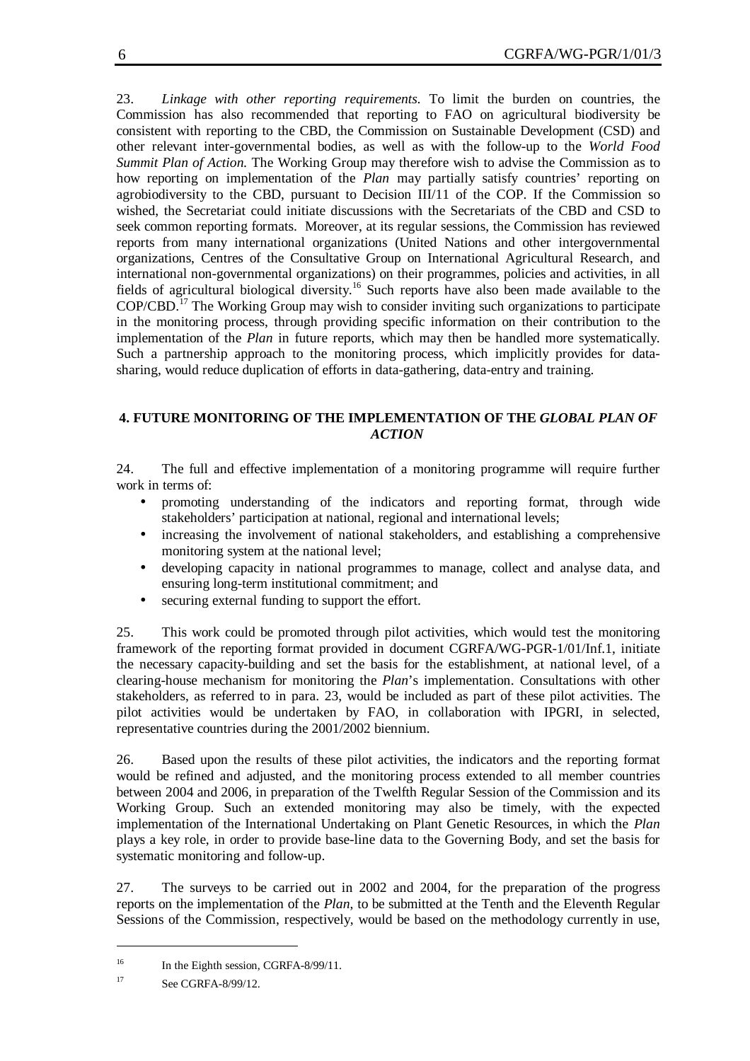23. *Linkage with other reporting requirements.* To limit the burden on countries, the Commission has also recommended that reporting to FAO on agricultural biodiversity be consistent with reporting to the CBD, the Commission on Sustainable Development (CSD) and other relevant inter-governmental bodies, as well as with the follow-up to the *World Food Summit Plan of Action*. The Working Group may therefore wish to advise the Commission as to how reporting on implementation of the *Plan* may partially satisfy countries' reporting on agrobiodiversity to the CBD, pursuant to Decision III/11 of the COP. If the Commission so wished, the Secretariat could initiate discussions with the Secretariats of the CBD and CSD to seek common reporting formats. Moreover, at its regular sessions, the Commission has reviewed reports from many international organizations (United Nations and other intergovernmental organizations, Centres of the Consultative Group on International Agricultural Research, and international non-governmental organizations) on their programmes, policies and activities, in all fields of agricultural biological diversity.<sup>16</sup> Such reports have also been made available to the COP/CBD.<sup>17</sup> The Working Group may wish to consider inviting such organizations to participate in the monitoring process, through providing specific information on their contribution to the implementation of the *Plan* in future reports, which may then be handled more systematically. Such a partnership approach to the monitoring process, which implicitly provides for datasharing, would reduce duplication of efforts in data-gathering, data-entry and training.

## **4. FUTURE MONITORING OF THE IMPLEMENTATION OF THE** *GLOBAL PLAN OF ACTION*

24. The full and effective implementation of a monitoring programme will require further work in terms of:

- promoting understanding of the indicators and reporting format, through wide stakeholders' participation at national, regional and international levels;
- increasing the involvement of national stakeholders, and establishing a comprehensive monitoring system at the national level;
- developing capacity in national programmes to manage, collect and analyse data, and ensuring long-term institutional commitment; and
- securing external funding to support the effort.

25. This work could be promoted through pilot activities, which would test the monitoring framework of the reporting format provided in document CGRFA/WG-PGR-1/01/Inf.1, initiate the necessary capacity-building and set the basis for the establishment, at national level, of a clearing-house mechanism for monitoring the *Plan*'s implementation. Consultations with other stakeholders, as referred to in para. 23, would be included as part of these pilot activities. The pilot activities would be undertaken by FAO, in collaboration with IPGRI, in selected, representative countries during the 2001/2002 biennium.

26. Based upon the results of these pilot activities, the indicators and the reporting format would be refined and adjusted, and the monitoring process extended to all member countries between 2004 and 2006, in preparation of the Twelfth Regular Session of the Commission and its Working Group. Such an extended monitoring may also be timely, with the expected implementation of the International Undertaking on Plant Genetic Resources, in which the *Plan* plays a key role, in order to provide base-line data to the Governing Body, and set the basis for systematic monitoring and follow-up.

27. The surveys to be carried out in 2002 and 2004, for the preparation of the progress reports on the implementation of the *Plan*, to be submitted at the Tenth and the Eleventh Regular Sessions of the Commission, respectively, would be based on the methodology currently in use,

 $\overline{a}$ 

<sup>&</sup>lt;sup>16</sup> In the Eighth session, CGRFA-8/99/11.

<sup>&</sup>lt;sup>17</sup> See CGRFA-8/99/12.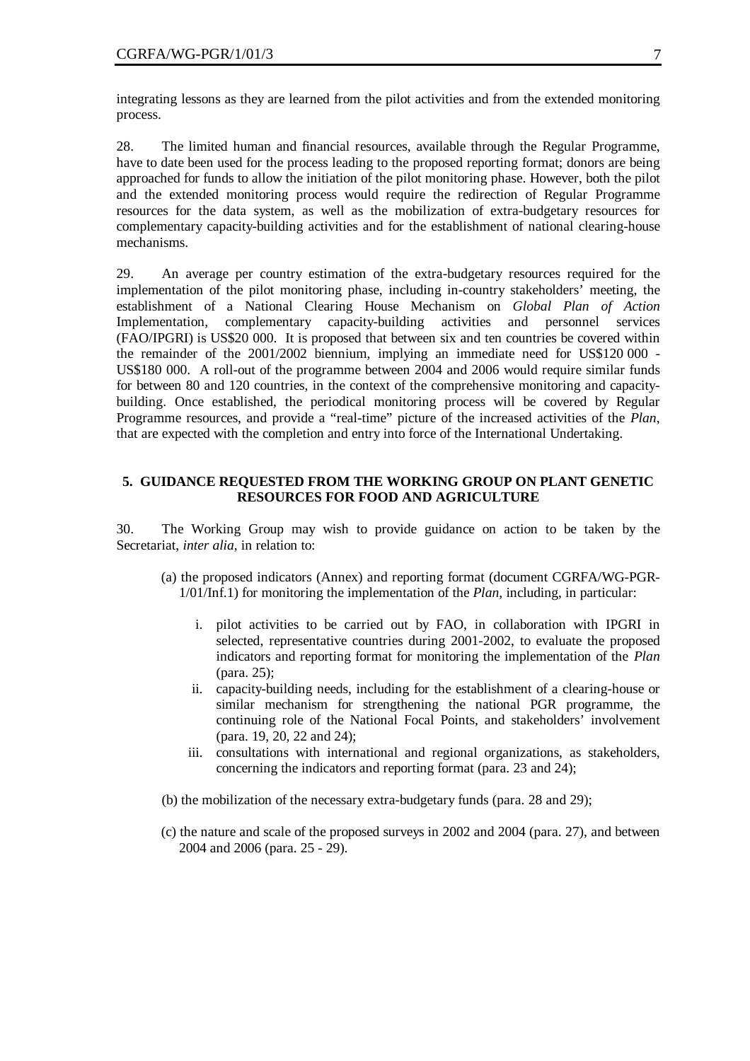integrating lessons as they are learned from the pilot activities and from the extended monitoring process.

28. The limited human and financial resources, available through the Regular Programme, have to date been used for the process leading to the proposed reporting format; donors are being approached for funds to allow the initiation of the pilot monitoring phase. However, both the pilot and the extended monitoring process would require the redirection of Regular Programme resources for the data system, as well as the mobilization of extra-budgetary resources for complementary capacity-building activities and for the establishment of national clearing-house mechanisms.

29. An average per country estimation of the extra-budgetary resources required for the implementation of the pilot monitoring phase, including in-country stakeholders' meeting, the establishment of a National Clearing House Mechanism on *Global Plan of Action* Implementation, complementary capacity-building activities and personnel services (FAO/IPGRI) is US\$20 000. It is proposed that between six and ten countries be covered within the remainder of the 2001/2002 biennium, implying an immediate need for US\$120 000 - US\$180 000. A roll-out of the programme between 2004 and 2006 would require similar funds for between 80 and 120 countries, in the context of the comprehensive monitoring and capacitybuilding. Once established, the periodical monitoring process will be covered by Regular Programme resources, and provide a "real-time" picture of the increased activities of the *Plan*, that are expected with the completion and entry into force of the International Undertaking.

#### **5. GUIDANCE REQUESTED FROM THE WORKING GROUP ON PLANT GENETIC RESOURCES FOR FOOD AND AGRICULTURE**

30. The Working Group may wish to provide guidance on action to be taken by the Secretariat, *inter alia*, in relation to:

- (a) the proposed indicators (Annex) and reporting format (document CGRFA/WG-PGR-1/01/Inf.1) for monitoring the implementation of the *Plan*, including, in particular:
	- i. pilot activities to be carried out by FAO, in collaboration with IPGRI in selected, representative countries during 2001-2002, to evaluate the proposed indicators and reporting format for monitoring the implementation of the *Plan* (para. 25);
	- ii. capacity-building needs, including for the establishment of a clearing-house or similar mechanism for strengthening the national PGR programme, the continuing role of the National Focal Points, and stakeholders' involvement (para. 19, 20, 22 and 24);
	- iii. consultations with international and regional organizations, as stakeholders, concerning the indicators and reporting format (para. 23 and 24);
- (b) the mobilization of the necessary extra-budgetary funds (para. 28 and 29);
- (c) the nature and scale of the proposed surveys in 2002 and 2004 (para. 27), and between 2004 and 2006 (para. 25 - 29).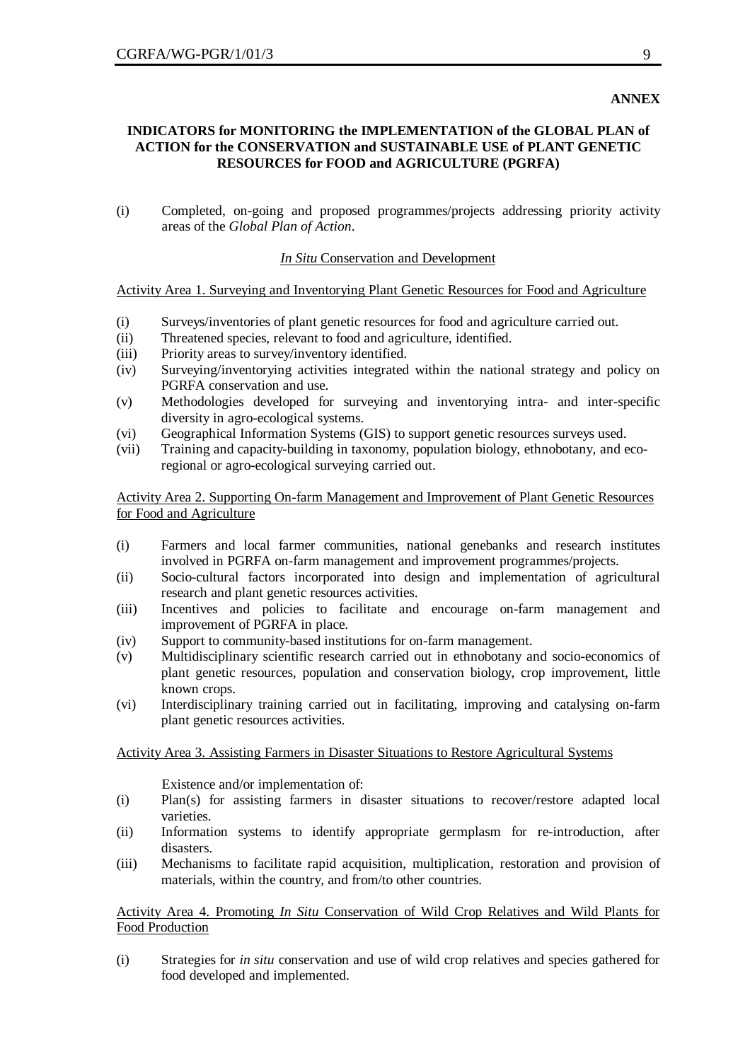#### **ANNEX**

#### **INDICATORS for MONITORING the IMPLEMENTATION of the GLOBAL PLAN of ACTION for the CONSERVATION and SUSTAINABLE USE of PLANT GENETIC RESOURCES for FOOD and AGRICULTURE (PGRFA)**

(i) Completed, on-going and proposed programmes/projects addressing priority activity areas of the *Global Plan of Action*.

#### *In Situ* Conservation and Development

#### Activity Area 1. Surveying and Inventorying Plant Genetic Resources for Food and Agriculture

- (i) Surveys/inventories of plant genetic resources for food and agriculture carried out.
- (ii) Threatened species, relevant to food and agriculture, identified.
- (iii) Priority areas to survey/inventory identified.
- (iv) Surveying/inventorying activities integrated within the national strategy and policy on PGRFA conservation and use.
- (v) Methodologies developed for surveying and inventorying intra- and inter-specific diversity in agro-ecological systems.
- (vi) Geographical Information Systems (GIS) to support genetic resources surveys used.
- (vii) Training and capacity-building in taxonomy, population biology, ethnobotany, and ecoregional or agro-ecological surveying carried out.

Activity Area 2. Supporting On-farm Management and Improvement of Plant Genetic Resources for Food and Agriculture

- (i) Farmers and local farmer communities, national genebanks and research institutes involved in PGRFA on-farm management and improvement programmes/projects.
- (ii) Socio-cultural factors incorporated into design and implementation of agricultural research and plant genetic resources activities.
- (iii) Incentives and policies to facilitate and encourage on-farm management and improvement of PGRFA in place.
- (iv) Support to community-based institutions for on-farm management.
- (v) Multidisciplinary scientific research carried out in ethnobotany and socio-economics of plant genetic resources, population and conservation biology, crop improvement, little known crops.
- (vi) Interdisciplinary training carried out in facilitating, improving and catalysing on-farm plant genetic resources activities.

#### Activity Area 3. Assisting Farmers in Disaster Situations to Restore Agricultural Systems

Existence and/or implementation of:

- (i) Plan(s) for assisting farmers in disaster situations to recover/restore adapted local varieties.
- (ii) Information systems to identify appropriate germplasm for re-introduction, after disasters.
- (iii) Mechanisms to facilitate rapid acquisition, multiplication, restoration and provision of materials, within the country, and from/to other countries.

#### Activity Area 4. Promoting *In Situ* Conservation of Wild Crop Relatives and Wild Plants for Food Production

(i) Strategies for *in situ* conservation and use of wild crop relatives and species gathered for food developed and implemented.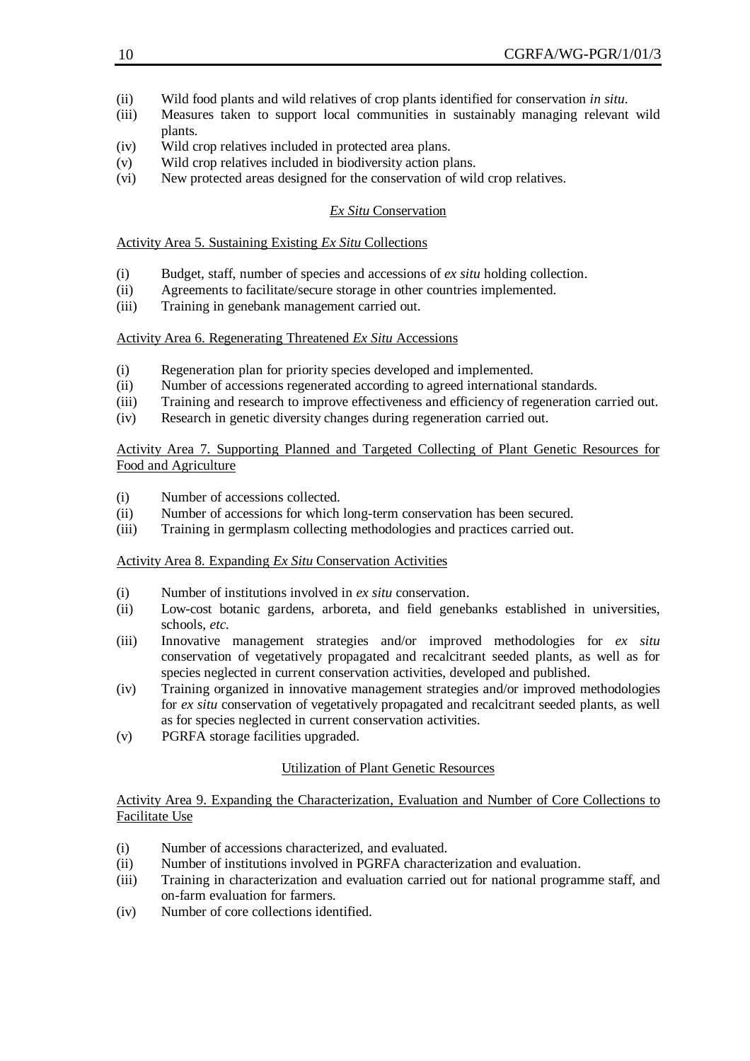- (ii) Wild food plants and wild relatives of crop plants identified for conservation *in situ*.
- (iii) Measures taken to support local communities in sustainably managing relevant wild plants.
- (iv) Wild crop relatives included in protected area plans.
- (v) Wild crop relatives included in biodiversity action plans.
- (vi) New protected areas designed for the conservation of wild crop relatives.

## *Ex Situ* Conservation

#### Activity Area 5. Sustaining Existing *Ex Situ* Collections

- (i) Budget, staff, number of species and accessions of *ex situ* holding collection.
- (ii) Agreements to facilitate/secure storage in other countries implemented.
- (iii) Training in genebank management carried out.

#### Activity Area 6. Regenerating Threatened *Ex Situ* Accessions

- (i) Regeneration plan for priority species developed and implemented.
- (ii) Number of accessions regenerated according to agreed international standards.
- (iii) Training and research to improve effectiveness and efficiency of regeneration carried out.
- (iv) Research in genetic diversity changes during regeneration carried out.

#### Activity Area 7. Supporting Planned and Targeted Collecting of Plant Genetic Resources for Food and Agriculture

- (i) Number of accessions collected.
- (ii) Number of accessions for which long-term conservation has been secured.
- (iii) Training in germplasm collecting methodologies and practices carried out.

#### Activity Area 8. Expanding *Ex Situ* Conservation Activities

- (i) Number of institutions involved in *ex situ* conservation.
- (ii) Low-cost botanic gardens, arboreta, and field genebanks established in universities, schools, *etc.*
- (iii) Innovative management strategies and/or improved methodologies for *ex situ* conservation of vegetatively propagated and recalcitrant seeded plants, as well as for species neglected in current conservation activities, developed and published.
- (iv) Training organized in innovative management strategies and/or improved methodologies for *ex situ* conservation of vegetatively propagated and recalcitrant seeded plants, as well as for species neglected in current conservation activities.
- (v) PGRFA storage facilities upgraded.

## Utilization of Plant Genetic Resources

Activity Area 9. Expanding the Characterization, Evaluation and Number of Core Collections to Facilitate Use

- (i) Number of accessions characterized, and evaluated.
- (ii) Number of institutions involved in PGRFA characterization and evaluation.
- (iii) Training in characterization and evaluation carried out for national programme staff, and on-farm evaluation for farmers.
- (iv) Number of core collections identified.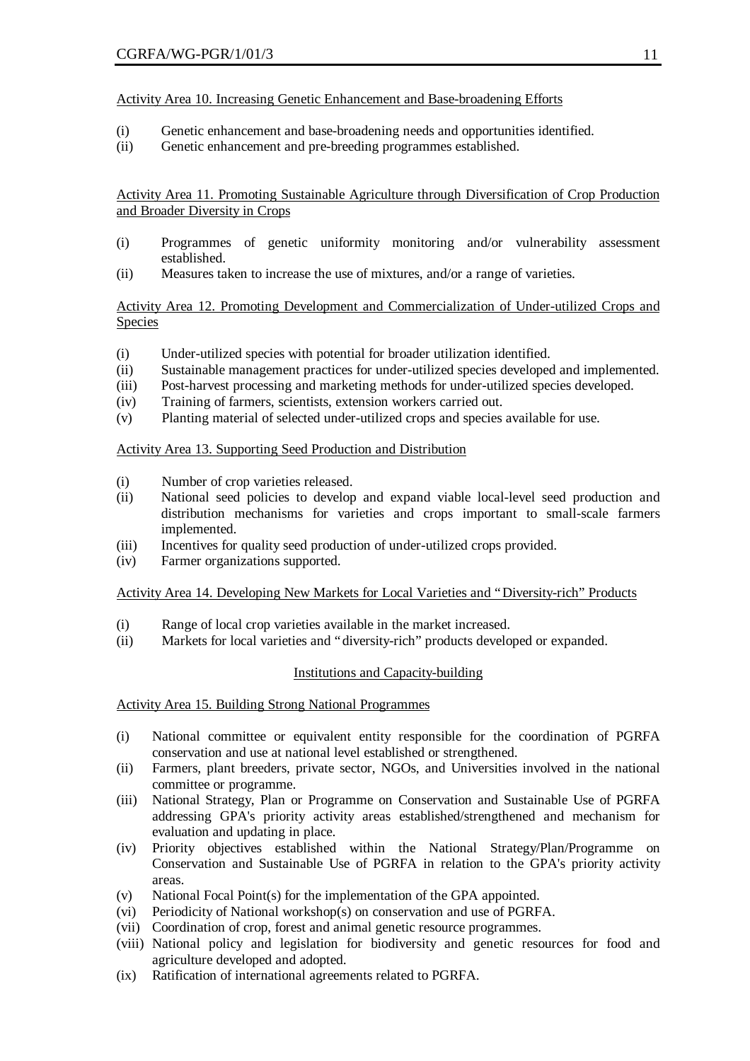## Activity Area 10. Increasing Genetic Enhancement and Base-broadening Efforts

- (i) Genetic enhancement and base-broadening needs and opportunities identified.
- (ii) Genetic enhancement and pre-breeding programmes established.

Activity Area 11. Promoting Sustainable Agriculture through Diversification of Crop Production and Broader Diversity in Crops

- (i) Programmes of genetic uniformity monitoring and/or vulnerability assessment established.
- (ii) Measures taken to increase the use of mixtures, and/or a range of varieties.

## Activity Area 12. Promoting Development and Commercialization of Under-utilized Crops and **Species**

- (i) Under-utilized species with potential for broader utilization identified.
- (ii) Sustainable management practices for under-utilized species developed and implemented.
- (iii) Post-harvest processing and marketing methods for under-utilized species developed.
- (iv) Training of farmers, scientists, extension workers carried out.
- (v) Planting material of selected under-utilized crops and species available for use.

## Activity Area 13. Supporting Seed Production and Distribution

- (i) Number of crop varieties released.
- (ii) National seed policies to develop and expand viable local-level seed production and distribution mechanisms for varieties and crops important to small-scale farmers implemented.
- (iii) Incentives for quality seed production of under-utilized crops provided.
- (iv) Farmer organizations supported.

## Activity Area 14. Developing New Markets for Local Varieties and "Diversity-rich" Products

- (i) Range of local crop varieties available in the market increased.
- (ii) Markets for local varieties and "diversity-rich" products developed or expanded.

#### Institutions and Capacity-building

#### Activity Area 15. Building Strong National Programmes

- (i) National committee or equivalent entity responsible for the coordination of PGRFA conservation and use at national level established or strengthened.
- (ii) Farmers, plant breeders, private sector, NGOs, and Universities involved in the national committee or programme.
- (iii) National Strategy, Plan or Programme on Conservation and Sustainable Use of PGRFA addressing GPA's priority activity areas established/strengthened and mechanism for evaluation and updating in place.
- (iv) Priority objectives established within the National Strategy/Plan/Programme on Conservation and Sustainable Use of PGRFA in relation to the GPA's priority activity areas.
- (v) National Focal Point(s) for the implementation of the GPA appointed.
- (vi) Periodicity of National workshop(s) on conservation and use of PGRFA.
- (vii) Coordination of crop, forest and animal genetic resource programmes.
- (viii) National policy and legislation for biodiversity and genetic resources for food and agriculture developed and adopted.
- (ix) Ratification of international agreements related to PGRFA.